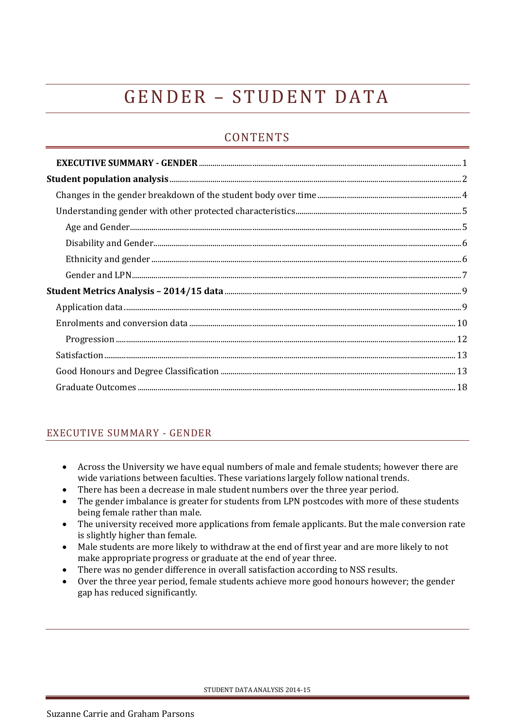# GENDER - STUDENT DATA

# **CONTENTS**

# <span id="page-0-0"></span>EXECUTIVE SUMMARY - GENDER

- Across the University we have equal numbers of male and female students; however there are wide variations between faculties. These variations largely follow national trends.
- There has been a decrease in male student numbers over the three year period.
- The gender imbalance is greater for students from LPN postcodes with more of these students being female rather than male.
- The university received more applications from female applicants. But the male conversion rate is slightly higher than female.
- Male students are more likely to withdraw at the end of first year and are more likely to not make appropriate progress or graduate at the end of year three.
- There was no gender difference in overall satisfaction according to NSS results.
- Over the three year period, female students achieve more good honours however; the gender gap has reduced significantly.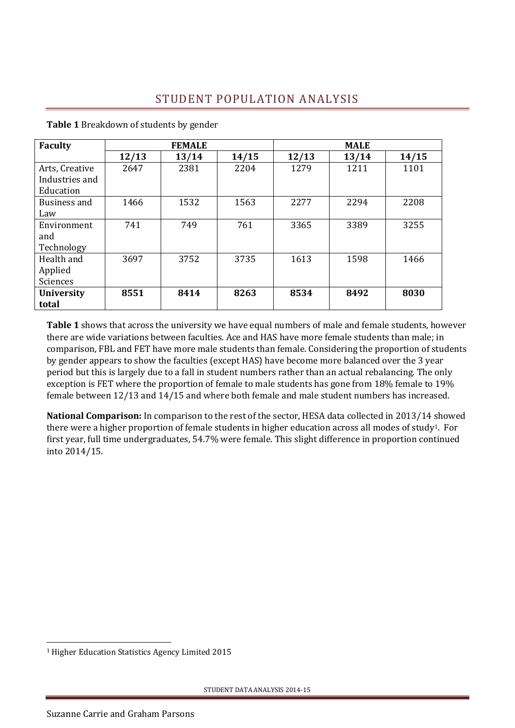# STUDENT POPULATION ANALYSIS

| <b>Faculty</b>                                |       | <b>FEMALE</b> |       |       |       |       |
|-----------------------------------------------|-------|---------------|-------|-------|-------|-------|
|                                               | 12/13 | 13/14         | 14/15 | 12/13 | 13/14 | 14/15 |
| Arts, Creative<br>Industries and<br>Education | 2647  | 2381          | 2204  | 1279  | 1211  | 1101  |
| Business and<br>Law                           | 1466  | 1532          | 1563  | 2277  | 2294  | 2208  |
| Environment<br>and<br>Technology              | 741   | 749           | 761   | 3365  | 3389  | 3255  |
| Health and<br>Applied<br><b>Sciences</b>      | 3697  | 3752          | 3735  | 1613  | 1598  | 1466  |
| <b>University</b><br>total                    | 8551  | 8414          | 8263  | 8534  | 8492  | 8030  |

<span id="page-1-0"></span>**Table 1** Breakdown of students by gender

**Table 1** shows that across the university we have equal numbers of male and female students, however there are wide variations between faculties. Ace and HAS have more female students than male; in comparison, FBL and FET have more male students than female. Considering the proportion of students by gender appears to show the faculties (except HAS) have become more balanced over the 3 year period but this is largely due to a fall in student numbers rather than an actual rebalancing. The only exception is FET where the proportion of female to male students has gone from 18% female to 19% female between 12/13 and 14/15 and where both female and male student numbers has increased.

**National Comparison:** In comparison to the rest of the sector, HESA data collected in 2013/14 showed there were a higher proportion of female students in higher education across all modes of study1. For first year, full time undergraduates, 54.7% were female. This slight difference in proportion continued into 2014/15.

<u>.</u>

<sup>1</sup> Higher Education Statistics Agency Limited 2015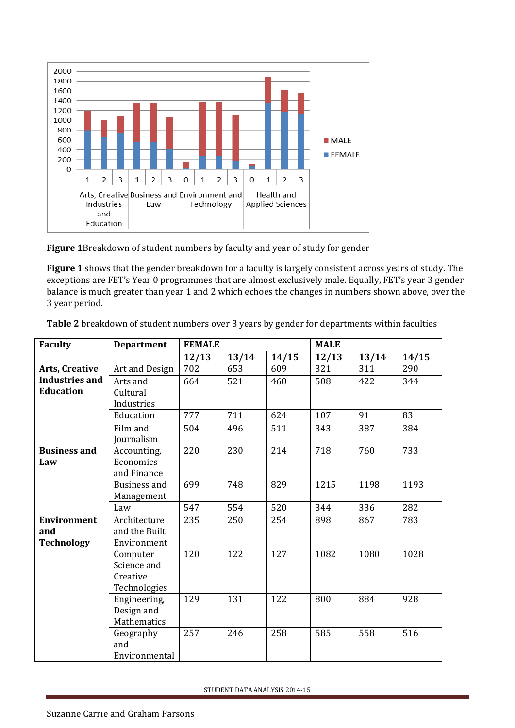

**Figure 1**Breakdown of student numbers by faculty and year of study for gender

**Figure 1** shows that the gender breakdown for a faculty is largely consistent across years of study. The exceptions are FET's Year 0 programmes that are almost exclusively male. Equally, FET's year 3 gender balance is much greater than year 1 and 2 which echoes the changes in numbers shown above, over the 3 year period.

| <b>Faculty</b>        | <b>Department</b>   | <b>FEMALE</b> |       |       | <b>MALE</b> |       |       |
|-----------------------|---------------------|---------------|-------|-------|-------------|-------|-------|
|                       |                     | 12/13         | 13/14 | 14/15 | 12/13       | 13/14 | 14/15 |
| Arts, Creative        | Art and Design      | 702           | 653   | 609   | 321         | 311   | 290   |
| <b>Industries and</b> | Arts and            | 664           | 521   | 460   | 508         | 422   | 344   |
| <b>Education</b>      | Cultural            |               |       |       |             |       |       |
|                       | Industries          |               |       |       |             |       |       |
|                       | Education           | 777           | 711   | 624   | 107         | 91    | 83    |
|                       | Film and            | 504           | 496   | 511   | 343         | 387   | 384   |
|                       | Journalism          |               |       |       |             |       |       |
| <b>Business and</b>   | Accounting,         | 220           | 230   | 214   | 718         | 760   | 733   |
| Law                   | Economics           |               |       |       |             |       |       |
|                       | and Finance         |               |       |       |             |       |       |
|                       | <b>Business and</b> | 699           | 748   | 829   | 1215        | 1198  | 1193  |
|                       | Management          |               |       |       |             |       |       |
|                       | Law                 | 547           | 554   | 520   | 344         | 336   | 282   |
| <b>Environment</b>    | Architecture        | 235           | 250   | 254   | 898         | 867   | 783   |
| and                   | and the Built       |               |       |       |             |       |       |
| <b>Technology</b>     | Environment         |               |       |       |             |       |       |
|                       | Computer            | 120           | 122   | 127   | 1082        | 1080  | 1028  |
|                       | Science and         |               |       |       |             |       |       |
|                       | Creative            |               |       |       |             |       |       |
|                       | Technologies        |               |       |       |             |       |       |
|                       | Engineering,        | 129           | 131   | 122   | 800         | 884   | 928   |
|                       | Design and          |               |       |       |             |       |       |
|                       | <b>Mathematics</b>  |               |       |       |             |       |       |
|                       | Geography           | 257           | 246   | 258   | 585         | 558   | 516   |
|                       | and                 |               |       |       |             |       |       |
|                       | Environmental       |               |       |       |             |       |       |

**Table 2** breakdown of student numbers over 3 years by gender for departments within faculties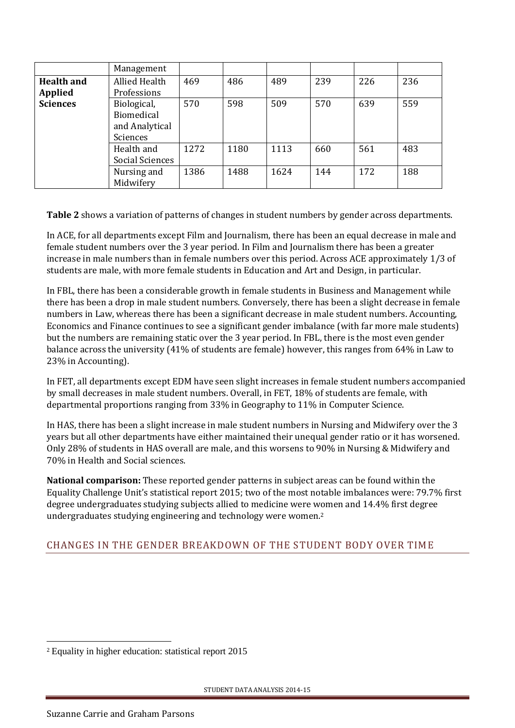|                   | Management                                                     |              |              |              |            |            |            |
|-------------------|----------------------------------------------------------------|--------------|--------------|--------------|------------|------------|------------|
| <b>Health and</b> | <b>Allied Health</b>                                           | 469          | 486          | 489          | 239        | 226        | 236        |
| <b>Applied</b>    | Professions                                                    |              |              |              |            |            |            |
| <b>Sciences</b>   | Biological,<br><b>Biomedical</b><br>and Analytical<br>Sciences | 570          | 598          | 509          | 570        | 639        | 559        |
|                   | Health and<br>Social Sciences<br>Nursing and                   | 1272<br>1386 | 1180<br>1488 | 1113<br>1624 | 660<br>144 | 561<br>172 | 483<br>188 |
|                   | Midwifery                                                      |              |              |              |            |            |            |

**Table 2** shows a variation of patterns of changes in student numbers by gender across departments.

In ACE, for all departments except Film and Journalism, there has been an equal decrease in male and female student numbers over the 3 year period. In Film and Journalism there has been a greater increase in male numbers than in female numbers over this period. Across ACE approximately 1/3 of students are male, with more female students in Education and Art and Design, in particular.

In FBL, there has been a considerable growth in female students in Business and Management while there has been a drop in male student numbers. Conversely, there has been a slight decrease in female numbers in Law, whereas there has been a significant decrease in male student numbers. Accounting, Economics and Finance continues to see a significant gender imbalance (with far more male students) but the numbers are remaining static over the 3 year period. In FBL, there is the most even gender balance across the university (41% of students are female) however, this ranges from 64% in Law to 23% in Accounting).

In FET, all departments except EDM have seen slight increases in female student numbers accompanied by small decreases in male student numbers. Overall, in FET, 18% of students are female, with departmental proportions ranging from 33% in Geography to 11% in Computer Science.

In HAS, there has been a slight increase in male student numbers in Nursing and Midwifery over the 3 years but all other departments have either maintained their unequal gender ratio or it has worsened. Only 28% of students in HAS overall are male, and this worsens to 90% in Nursing & Midwifery and 70% in Health and Social sciences.

**National comparison:** These reported gender patterns in subject areas can be found within the Equality Challenge Unit's statistical report 2015; two of the most notable imbalances were: 79.7% first degree undergraduates studying subjects allied to medicine were women and 14.4% first degree undergraduates studying engineering and technology were women.<sup>2</sup>

# <span id="page-3-0"></span>CHANGES IN THE GENDER BREAKDOWN OF THE STUDENT BODY OVER TIME

-

<sup>2</sup> Equality in higher education: statistical report 2015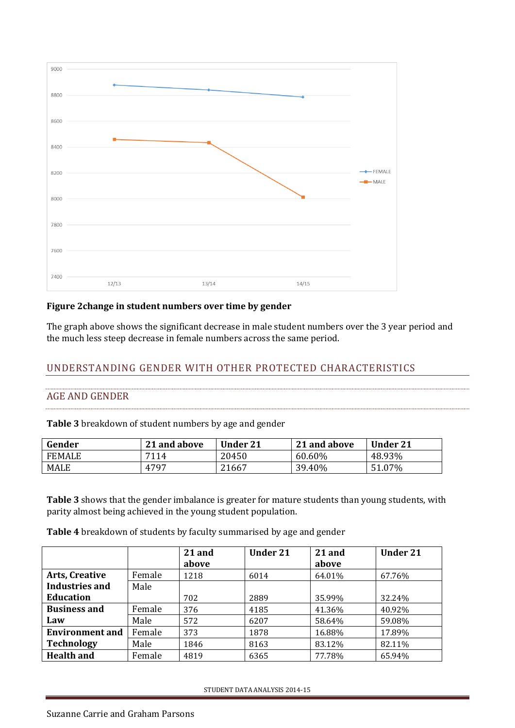

#### **Figure 2change in student numbers over time by gender**

The graph above shows the significant decrease in male student numbers over the 3 year period and the much less steep decrease in female numbers across the same period.

# <span id="page-4-0"></span>UNDERSTANDING GENDER WITH OTHER PROTECTED CHARACTERISTICS

#### <span id="page-4-1"></span>AGE AND GENDER

**Table 3** breakdown of student numbers by age and gender

| Gender        | 21 and above | <b>Under 21</b> | 21 and above | <b>Under 21</b> |
|---------------|--------------|-----------------|--------------|-----------------|
| <b>FEMALE</b> | 7114         | 20450           | 60.60%       | 48.93%          |
| MALE          | 4797         | 21667           | 39.40%       | 51.07%          |

**Table 3** shows that the gender imbalance is greater for mature students than young students, with parity almost being achieved in the young student population.

**Table 4** breakdown of students by faculty summarised by age and gender

|                        |        | 21 and<br>above | <b>Under 21</b> | 21 and<br>above | <b>Under 21</b> |
|------------------------|--------|-----------------|-----------------|-----------------|-----------------|
| <b>Arts, Creative</b>  | Female | 1218            | 6014            | 64.01%          | 67.76%          |
| Industries and         | Male   |                 |                 |                 |                 |
| <b>Education</b>       |        | 702             | 2889            | 35.99%          | 32.24%          |
| <b>Business and</b>    | Female | 376             | 4185            | 41.36%          | 40.92%          |
| Law                    | Male   | 572             | 6207            | 58.64%          | 59.08%          |
| <b>Environment and</b> | Female | 373             | 1878            | 16.88%          | 17.89%          |
| <b>Technology</b>      | Male   | 1846            | 8163            | 83.12%          | 82.11%          |
| <b>Health and</b>      | Female | 4819            | 6365            | 77.78%          | 65.94%          |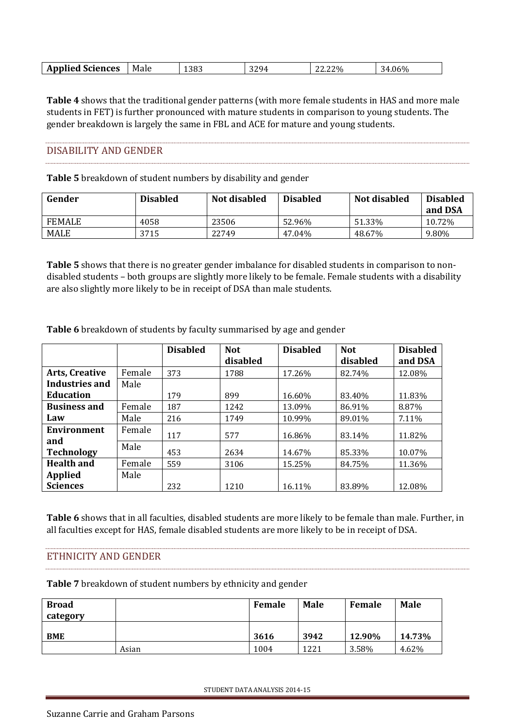| 329 <sub>4</sub><br>1383<br>$.06\%$<br>Male<br>. Sciences<br>Applied S<br>,ט/<br>$\overline{\phantom{a}}$<br>.<br>$\overline{\phantom{a}}$<br>ے ت<br>44.44<br>.<br>_____ |
|--------------------------------------------------------------------------------------------------------------------------------------------------------------------------|
|--------------------------------------------------------------------------------------------------------------------------------------------------------------------------|

**Table 4** shows that the traditional gender patterns (with more female students in HAS and more male students in FET) is further pronounced with mature students in comparison to young students. The gender breakdown is largely the same in FBL and ACE for mature and young students.

#### <span id="page-5-0"></span>DISABILITY AND GENDER

**Table 5** breakdown of student numbers by disability and gender

| Gender        | <b>Disabled</b> | Not disabled | <b>Disabled</b> | Not disabled | <b>Disabled</b><br>and DSA |
|---------------|-----------------|--------------|-----------------|--------------|----------------------------|
| <b>FEMALE</b> | 4058            | 23506        | 52.96%          | 51.33%       | 10.72%                     |
| <b>MALE</b>   | 3715            | 22749        | 47.04%          | 48.67%       | 9.80%                      |

**Table 5** shows that there is no greater gender imbalance for disabled students in comparison to nondisabled students – both groups are slightly more likely to be female. Female students with a disability are also slightly more likely to be in receipt of DSA than male students.

|                           |        | <b>Disabled</b> | <b>Not</b><br>disabled | <b>Disabled</b> | <b>Not</b><br>disabled | <b>Disabled</b><br>and DSA |
|---------------------------|--------|-----------------|------------------------|-----------------|------------------------|----------------------------|
| <b>Arts, Creative</b>     | Female | 373             | 1788                   | 17.26%          | 82.74%                 | 12.08%                     |
| <b>Industries and</b>     | Male   |                 |                        |                 |                        |                            |
| <b>Education</b>          |        | 179             | 899                    | 16.60%          | 83.40%                 | 11.83%                     |
| <b>Business and</b>       | Female | 187             | 1242                   | 13.09%          | 86.91%                 | 8.87%                      |
| Law                       | Male   | 216             | 1749                   | 10.99%          | 89.01%                 | 7.11%                      |
| <b>Environment</b><br>and | Female | 117             | 577                    | 16.86%          | 83.14%                 | 11.82%                     |
| <b>Technology</b>         | Male   | 453             | 2634                   | 14.67%          | 85.33%                 | 10.07%                     |
| <b>Health and</b>         | Female | 559             | 3106                   | 15.25%          | 84.75%                 | 11.36%                     |
| <b>Applied</b>            | Male   |                 |                        |                 |                        |                            |
| <b>Sciences</b>           |        | 232             | 1210                   | 16.11%          | 83.89%                 | 12.08%                     |

**Table 6** breakdown of students by faculty summarised by age and gender

**Table 6** shows that in all faculties, disabled students are more likely to be female than male. Further, in all faculties except for HAS, female disabled students are more likely to be in receipt of DSA.

#### <span id="page-5-1"></span>ETHNICITY AND GENDER

**Table 7** breakdown of student numbers by ethnicity and gender

| <b>Broad</b><br>category |       | Female | Male | Female | <b>Male</b> |
|--------------------------|-------|--------|------|--------|-------------|
| <b>BME</b>               |       | 3616   | 3942 | 12.90% | 14.73%      |
|                          | Asian | 1004   | 1221 | 3.58%  | 4.62%       |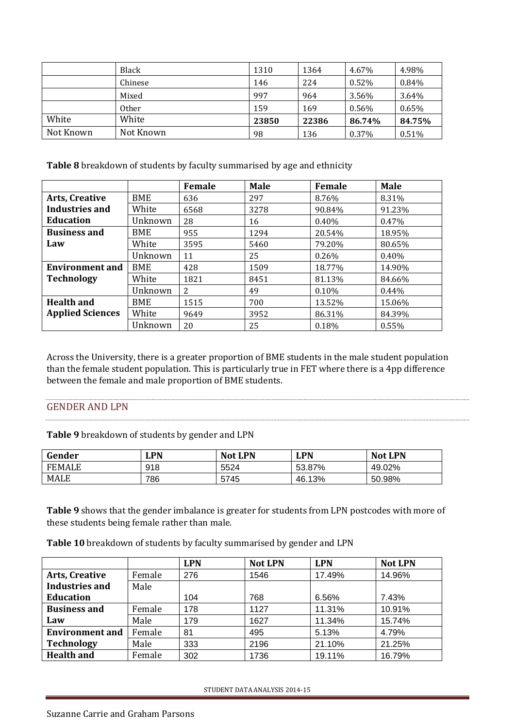|           | Black        | 1310  | 1364  | 4.67%  | 4.98%    |
|-----------|--------------|-------|-------|--------|----------|
|           | Chinese      | 146   | 224   | 0.52%  | 0.84%    |
|           | Mixed        | 997   | 964   | 3.56%  | 3.64%    |
|           | <b>Other</b> | 159   | 169   | 0.56%  | $0.65\%$ |
| White     | White        | 23850 | 22386 | 86.74% | 84.75%   |
| Not Known | Not Known    | 98    | 136   | 0.37%  | 0.51%    |

**Table 8** breakdown of students by faculty summarised by age and ethnicity

|                         |            | Female | <b>Male</b> | <b>Female</b> | <b>Male</b> |
|-------------------------|------------|--------|-------------|---------------|-------------|
| <b>Arts, Creative</b>   | BME        | 636    | 297         | 8.76%         | 8.31%       |
| <b>Industries and</b>   | White      | 6568   | 3278        | 90.84%        | 91.23%      |
| <b>Education</b>        | Unknown    | 28     | 16          | $0.40\%$      | 0.47%       |
| <b>Business and</b>     | BME        | 955    | 1294        | 20.54%        | 18.95%      |
| Law                     | White      | 3595   | 5460        | 79.20%        | 80.65%      |
|                         | Unknown    | 11     | 25          | 0.26%         | $0.40\%$    |
| <b>Environment and</b>  | BME        | 428    | 1509        | 18.77%        | 14.90%      |
| <b>Technology</b>       | White      | 1821   | 8451        | 81.13%        | 84.66%      |
|                         | Unknown    | 2      | 49          | $0.10\%$      | $0.44\%$    |
| <b>Health and</b>       | <b>BME</b> | 1515   | 700         | 13.52%        | 15.06%      |
| <b>Applied Sciences</b> | White      | 9649   | 3952        | 86.31%        | 84.39%      |
|                         | Unknown    | 20     | 25          | 0.18%         | 0.55%       |

Across the University, there is a greater proportion of BME students in the male student population than the female student population. This is particularly true in FET where there is a 4pp difference between the female and male proportion of BME students.

#### <span id="page-6-0"></span>GENDER AND LPN

**Table 9** breakdown of students by gender and LPN

| Gender        | <b>LPN</b> | <b>Not LPN</b> | <b>LPN</b> | <b>Not LPN</b> |
|---------------|------------|----------------|------------|----------------|
| <b>FEMALE</b> | 918        | 5524           | 53.87%     | 49.02%         |
| MALE          | 786        | 5745           | 46.13%     | 50.98%         |

**Table 9** shows that the gender imbalance is greater for students from LPN postcodes with more of these students being female rather than male.

**Table 10** breakdown of students by faculty summarised by gender and LPN

|                        |        | <b>LPN</b> | <b>Not LPN</b> | <b>LPN</b> | <b>Not LPN</b> |
|------------------------|--------|------------|----------------|------------|----------------|
| <b>Arts, Creative</b>  | Female | 276        | 1546           | 17.49%     | 14.96%         |
| <b>Industries and</b>  | Male   |            |                |            |                |
| <b>Education</b>       |        | 104        | 768            | 6.56%      | 7.43%          |
| <b>Business and</b>    | Female | 178        | 1127           | 11.31%     | 10.91%         |
| Law                    | Male   | 179        | 1627           | 11.34%     | 15.74%         |
| <b>Environment and</b> | Female | 81         | 495            | 5.13%      | 4.79%          |
| <b>Technology</b>      | Male   | 333        | 2196           | 21.10%     | 21.25%         |
| <b>Health and</b>      | Female | 302        | 1736           | 19.11%     | 16.79%         |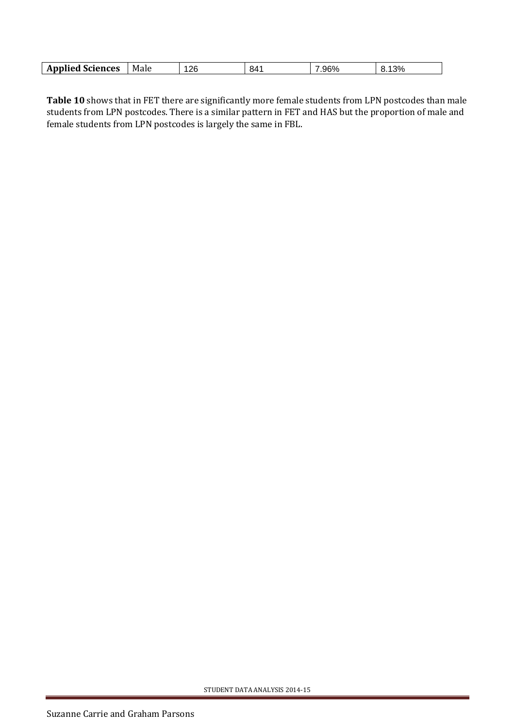| 12R<br>.96%<br>റവ<br><b>Applied Sciences</b><br>841<br>Male<br>70 ن<br>~<br>J. |
|--------------------------------------------------------------------------------|
|--------------------------------------------------------------------------------|

**Table 10** shows that in FET there are significantly more female students from LPN postcodes than male students from LPN postcodes. There is a similar pattern in FET and HAS but the proportion of male and female students from LPN postcodes is largely the same in FBL.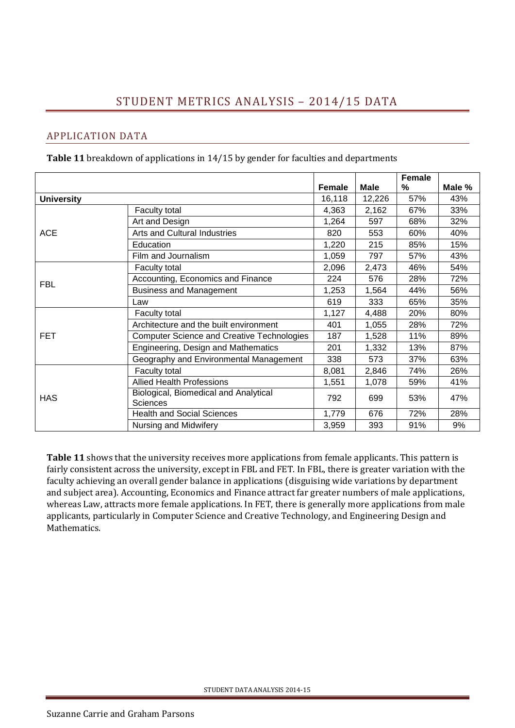# STUDENT METRICS ANALYSIS – 2014/15 DATA

## <span id="page-8-1"></span><span id="page-8-0"></span>APPLICATION DATA

**Table 11** breakdown of applications in 14/15 by gender for faculties and departments

|                   |                                                          |               |        | Female |        |
|-------------------|----------------------------------------------------------|---------------|--------|--------|--------|
|                   |                                                          | <b>Female</b> | Male   | %      | Male % |
| <b>University</b> |                                                          | 16,118        | 12,226 | 57%    | 43%    |
|                   | Faculty total                                            | 4,363         | 2,162  | 67%    | 33%    |
|                   | Art and Design                                           | 1,264         | 597    | 68%    | 32%    |
| <b>ACE</b>        | <b>Arts and Cultural Industries</b>                      | 820           | 553    | 60%    | 40%    |
|                   | Education                                                | 1,220         | 215    | 85%    | 15%    |
|                   | Film and Journalism                                      | 1,059         | 797    | 57%    | 43%    |
|                   | Faculty total                                            | 2,096         | 2,473  | 46%    | 54%    |
| <b>FBL</b>        | Accounting, Economics and Finance                        | 224           | 576    | 28%    | 72%    |
|                   | <b>Business and Management</b>                           | 1,253         | 1,564  | 44%    | 56%    |
|                   | Law                                                      | 619           | 333    | 65%    | 35%    |
|                   | Faculty total                                            | 1,127         | 4,488  | 20%    | 80%    |
|                   | Architecture and the built environment                   | 401           | 1,055  | 28%    | 72%    |
| <b>FET</b>        | <b>Computer Science and Creative Technologies</b>        | 187           | 1,528  | 11%    | 89%    |
|                   | Engineering, Design and Mathematics                      | 201           | 1,332  | 13%    | 87%    |
|                   | Geography and Environmental Management                   | 338           | 573    | 37%    | 63%    |
|                   | Faculty total                                            | 8,081         | 2,846  | 74%    | 26%    |
|                   | <b>Allied Health Professions</b>                         | 1,551         | 1,078  | 59%    | 41%    |
| <b>HAS</b>        | Biological, Biomedical and Analytical<br><b>Sciences</b> | 792           | 699    | 53%    | 47%    |
|                   | <b>Health and Social Sciences</b>                        | 1,779         | 676    | 72%    | 28%    |
|                   | Nursing and Midwifery                                    | 3,959         | 393    | 91%    | 9%     |

**Table 11** shows that the university receives more applications from female applicants. This pattern is fairly consistent across the university, except in FBL and FET. In FBL, there is greater variation with the faculty achieving an overall gender balance in applications (disguising wide variations by department and subject area). Accounting, Economics and Finance attract far greater numbers of male applications, whereas Law, attracts more female applications. In FET, there is generally more applications from male applicants, particularly in Computer Science and Creative Technology, and Engineering Design and Mathematics.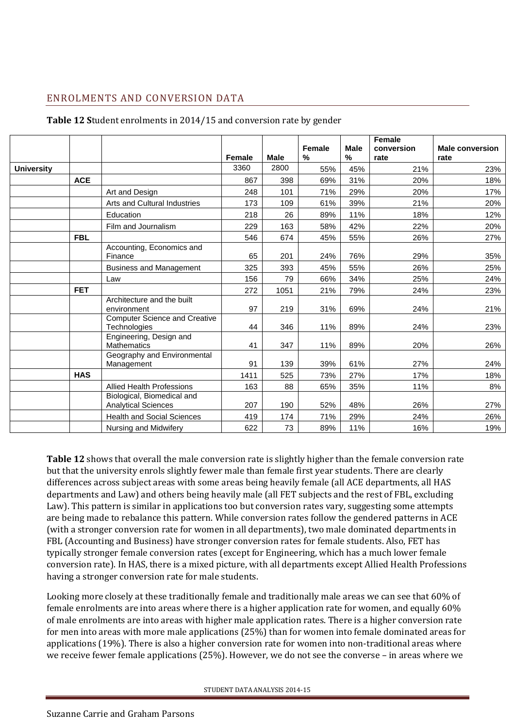# <span id="page-9-0"></span>ENROLMENTS AND CONVERSION DATA

|                   |            |                                                          | Female | <b>Male</b> | <b>Female</b><br>% | <b>Male</b><br>% | <b>Female</b><br>conversion<br>rate | <b>Male conversion</b><br>rate |
|-------------------|------------|----------------------------------------------------------|--------|-------------|--------------------|------------------|-------------------------------------|--------------------------------|
| <b>University</b> |            |                                                          | 3360   | 2800        | 55%                | 45%              | 21%                                 | 23%                            |
|                   | <b>ACE</b> |                                                          | 867    | 398         | 69%                | 31%              | 20%                                 | 18%                            |
|                   |            | Art and Design                                           | 248    | 101         | 71%                | 29%              | 20%                                 | 17%                            |
|                   |            | Arts and Cultural Industries                             | 173    | 109         | 61%                | 39%              | 21%                                 | 20%                            |
|                   |            | Education                                                | 218    | 26          | 89%                | 11%              | 18%                                 | 12%                            |
|                   |            | Film and Journalism                                      | 229    | 163         | 58%                | 42%              | 22%                                 | 20%                            |
|                   | <b>FBL</b> |                                                          | 546    | 674         | 45%                | 55%              | 26%                                 | 27%                            |
|                   |            | Accounting, Economics and<br>Finance                     | 65     | 201         | 24%                | 76%              | 29%                                 | 35%                            |
|                   |            | <b>Business and Management</b>                           | 325    | 393         | 45%                | 55%              | 26%                                 | 25%                            |
|                   |            | Law                                                      | 156    | 79          | 66%                | 34%              | 25%                                 | 24%                            |
|                   | <b>FET</b> |                                                          | 272    | 1051        | 21%                | 79%              | 24%                                 | 23%                            |
|                   |            | Architecture and the built<br>environment                | 97     | 219         | 31%                | 69%              | 24%                                 | 21%                            |
|                   |            | <b>Computer Science and Creative</b><br>Technologies     | 44     | 346         | 11%                | 89%              | 24%                                 | 23%                            |
|                   |            | Engineering, Design and<br>Mathematics                   | 41     | 347         | 11%                | 89%              | 20%                                 | 26%                            |
|                   |            | Geography and Environmental<br>Management                | 91     | 139         | 39%                | 61%              | 27%                                 | 24%                            |
|                   | <b>HAS</b> |                                                          | 1411   | 525         | 73%                | 27%              | 17%                                 | 18%                            |
|                   |            | <b>Allied Health Professions</b>                         | 163    | 88          | 65%                | 35%              | 11%                                 | 8%                             |
|                   |            | Biological, Biomedical and<br><b>Analytical Sciences</b> | 207    | 190         | 52%                | 48%              | 26%                                 | 27%                            |
|                   |            | <b>Health and Social Sciences</b>                        | 419    | 174         | 71%                | 29%              | 24%                                 | 26%                            |
|                   |            | Nursing and Midwifery                                    | 622    | 73          | 89%                | 11%              | 16%                                 | 19%                            |

#### **Table 12 S**tudent enrolments in 2014/15 and conversion rate by gender

**Table 12** shows that overall the male conversion rate is slightly higher than the female conversion rate but that the university enrols slightly fewer male than female first year students. There are clearly differences across subject areas with some areas being heavily female (all ACE departments, all HAS departments and Law) and others being heavily male (all FET subjects and the rest of FBL, excluding Law). This pattern is similar in applications too but conversion rates vary, suggesting some attempts are being made to rebalance this pattern. While conversion rates follow the gendered patterns in ACE (with a stronger conversion rate for women in all departments), two male dominated departments in FBL (Accounting and Business) have stronger conversion rates for female students. Also, FET has typically stronger female conversion rates (except for Engineering, which has a much lower female conversion rate). In HAS, there is a mixed picture, with all departments except Allied Health Professions having a stronger conversion rate for male students.

Looking more closely at these traditionally female and traditionally male areas we can see that 60% of female enrolments are into areas where there is a higher application rate for women, and equally 60% of male enrolments are into areas with higher male application rates. There is a higher conversion rate for men into areas with more male applications (25%) than for women into female dominated areas for applications (19%). There is also a higher conversion rate for women into non-traditional areas where we receive fewer female applications (25%). However, we do not see the converse – in areas where we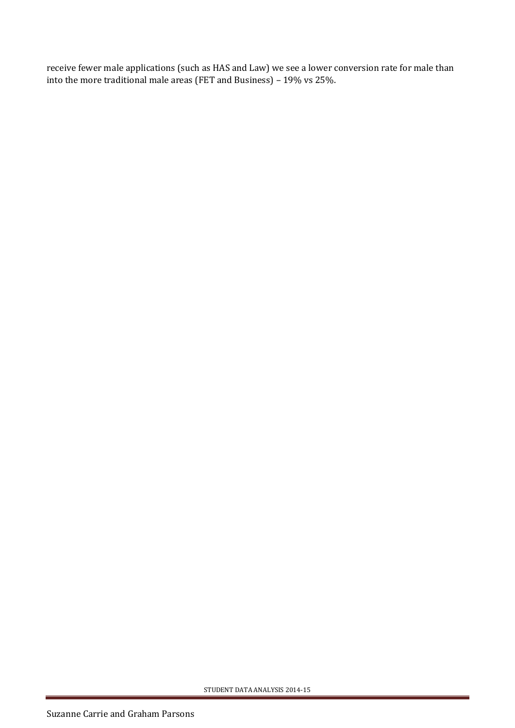receive fewer male applications (such as HAS and Law) we see a lower conversion rate for male than into the more traditional male areas (FET and Business) – 19% vs 25%.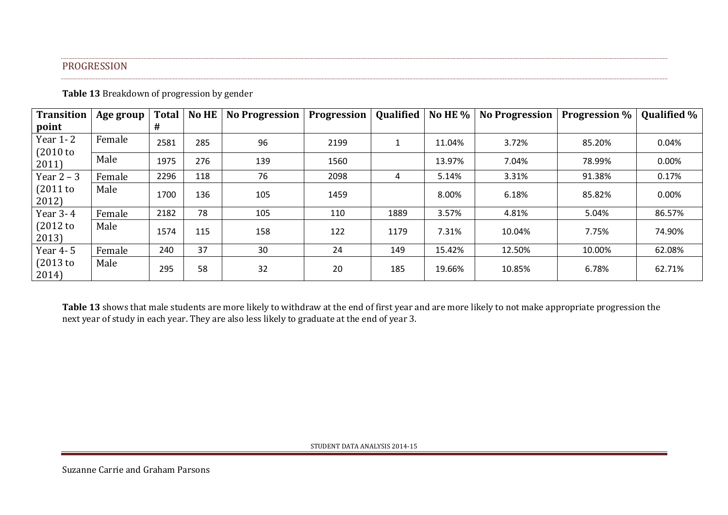### PROGRESSION

**Table 13** Breakdown of progression by gender

| <b>Transition</b>   | Age group | <b>Total</b> | <b>No HE</b> | <b>No Progression</b> | Progression | Qualified | No HE $%$ | <b>No Progression</b> | <b>Progression</b> % | Qualified % |
|---------------------|-----------|--------------|--------------|-----------------------|-------------|-----------|-----------|-----------------------|----------------------|-------------|
| point               |           | #            |              |                       |             |           |           |                       |                      |             |
| Year 1-2<br>(2010)  | Female    | 2581         | 285          | 96                    | 2199        |           | 11.04%    | 3.72%                 | 85.20%               | 0.04%       |
| 2011)               | Male      | 1975         | 276          | 139                   | 1560        |           | 13.97%    | 7.04%                 | 78.99%               | 0.00%       |
| Year $2 - 3$        | Female    | 2296         | 118          | 76                    | 2098        | 4         | 5.14%     | 3.31%                 | 91.38%               | 0.17%       |
| $(2011$ to<br>2012) | Male      | 1700         | 136          | 105                   | 1459        |           | 8.00%     | 6.18%                 | 85.82%               | 0.00%       |
| Year 3-4            | Female    | 2182         | 78           | 105                   | 110         | 1889      | 3.57%     | 4.81%                 | 5.04%                | 86.57%      |
| $(2012$ to<br>2013) | Male      | 1574         | 115          | 158                   | 122         | 1179      | 7.31%     | 10.04%                | 7.75%                | 74.90%      |
| Year 4-5            | Female    | 240          | 37           | 30                    | 24          | 149       | 15.42%    | 12.50%                | 10.00%               | 62.08%      |
| (2013)<br>2014)     | Male      | 295          | 58           | 32                    | 20          | 185       | 19.66%    | 10.85%                | 6.78%                | 62.71%      |

<span id="page-11-0"></span>**Table 13** shows that male students are more likely to withdraw at the end of first year and are more likely to not make appropriate progression the next year of study in each year. They are also less likely to graduate at the end of year 3.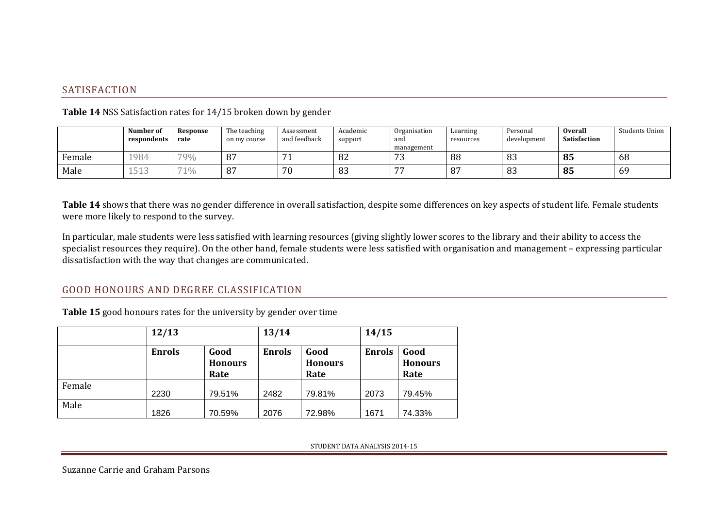## SATISFACTION

|        | Number of<br>respondents     | Response<br>rate | The teaching<br>on my course | Assessment<br>and feedback | Academic<br>support | Organisation<br>and<br>management | Learning<br>resources | Personal<br>development | <b>Overall</b><br>Satisfaction | Students Union |
|--------|------------------------------|------------------|------------------------------|----------------------------|---------------------|-----------------------------------|-----------------------|-------------------------|--------------------------------|----------------|
| Female | 1984                         | 79%              | 87                           | -<br><b>T</b>              | 82                  | $\mathbf{z}$<br>ر ،               | 88                    | 83                      | 85                             | 68             |
| Male   | $H \wedge \Omega$<br>. J 1 J | 71%              | 87                           | 70<br>7 U                  | 83                  | $\overline{\phantom{a}}$          | 87                    | 83                      | 85                             | 69             |

**Table 14** NSS Satisfaction rates for 14/15 broken down by gender

Table 14 shows that there was no gender difference in overall satisfaction, despite some differences on key aspects of student life. Female students were more likely to respond to the survey.

In particular, male students were less satisfied with learning resources (giving slightly lower scores to the library and their ability to access the specialist resources they require). On the other hand, female students were less satisfied with organisation and management – expressing particular dissatisfaction with the way that changes are communicated.

# <span id="page-12-0"></span>GOOD HONOURS AND DEGREE CLASSIFICATION

**Table 15** good honours rates for the university by gender over time

<span id="page-12-1"></span>

|        | 12/13         |                                | 13/14         |                                | 14/15         |                                |  |
|--------|---------------|--------------------------------|---------------|--------------------------------|---------------|--------------------------------|--|
|        | <b>Enrols</b> | Good<br><b>Honours</b><br>Rate | <b>Enrols</b> | Good<br><b>Honours</b><br>Rate | <b>Enrols</b> | Good<br><b>Honours</b><br>Rate |  |
| Female | 2230          | 79.51%                         | 2482          | 79.81%                         | 2073          | 79.45%                         |  |
| Male   | 1826          | 70.59%                         | 2076          | 72.98%                         | 1671          | 74.33%                         |  |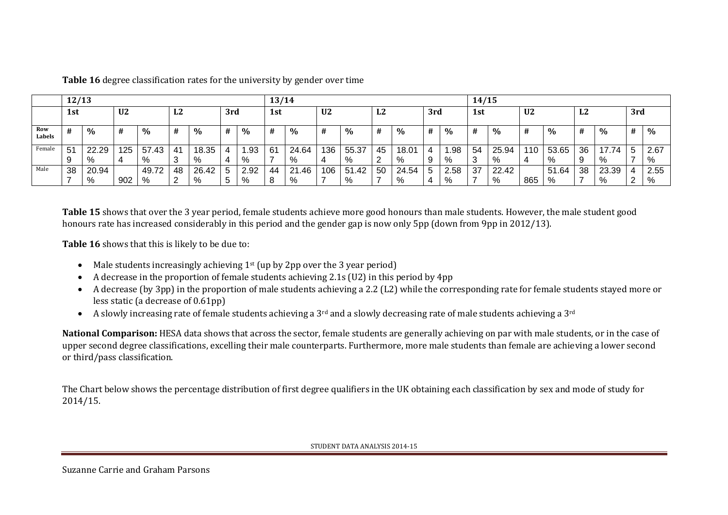|               | 12/13          |       |                |       |        |       |             |               | 13/14 |       |                |       |    | 14/15 |     |      |     |       |                |       |                          |               |              |      |
|---------------|----------------|-------|----------------|-------|--------|-------|-------------|---------------|-------|-------|----------------|-------|----|-------|-----|------|-----|-------|----------------|-------|--------------------------|---------------|--------------|------|
|               | 1st            |       | U <sub>2</sub> |       | L2     |       | 3rd         |               | 1st   |       | U <sub>2</sub> |       | L2 |       | 3rd |      | 1st |       | U <sub>2</sub> |       | L2                       |               | 3rd          |      |
| Row<br>Labels | #              | $\%$  | #              | $\%$  | #      | $\%$  | #           | $\frac{0}{0}$ | #     | $\%$  | #              | $\%$  | #  | $\%$  | #   | $\%$ | #   | $\%$  | #              | $\%$  | #                        | $\frac{0}{0}$ | #            | $\%$ |
| Female        | 5 <sup>′</sup> | 22.29 | 125            | 57.43 | 41     | 18.35 |             | . 93          | -61   | 24.64 | 136            | 55.37 | 45 | 18.01 |     | .98  | 54  | 25.94 | 110            | 53.65 | 36                       | 7.74          | <sub>5</sub> | 2.67 |
|               | 9              | %     |                | %     | ົ<br>◡ | %     | 4           | %             |       | %     | 4              | %     |    | %     | -9  | %    | -3  | %     | 4              | %     | 9                        | %             |              | %    |
| Male          | 38             | 20.94 |                | 49.72 | 48     | 26.42 | 5           | 2.92          | 44    | 21.46 | 106            | 51.42 | 50 | 24.54 | . 5 | 2.58 | 37  | 22.42 |                | 51.64 | 38                       | 23.39         |              | 2.55 |
|               |                | %     | 902            | %     | 2      | %     | $\mathbf b$ | %             | 8     | %     |                | %     |    | %     |     | %    |     | %     | 865            | %     | $\overline{\phantom{0}}$ | %             | 2            | %    |

**Table 16** degree classification rates for the university by gender over time

**Table 15** shows that over the 3 year period, female students achieve more good honours than male students. However, the male student good honours rate has increased considerably in this period and the gender gap is now only 5pp (down from 9pp in 2012/13).

**Table 16** shows that this is likely to be due to:

- Male students increasingly achieving 1<sup>st</sup> (up by 2pp over the 3 year period)
- A decrease in the proportion of female students achieving 2.1s (U2) in this period by 4pp
- A decrease (by 3pp) in the proportion of male students achieving a 2.2 (L2) while the corresponding rate for female students stayed more or less static (a decrease of 0.61pp)
- A slowly increasing rate of female students achieving a 3<sup>rd</sup> and a slowly decreasing rate of male students achieving a 3<sup>rd</sup>

**National Comparison:** HESA data shows that across the sector, female students are generally achieving on par with male students, or in the case of upper second degree classifications, excelling their male counterparts. Furthermore, more male students than female are achieving a lower second or third/pass classification.

The Chart below shows the percentage distribution of first degree qualifiers in the UK obtaining each classification by sex and mode of study for 2014/15.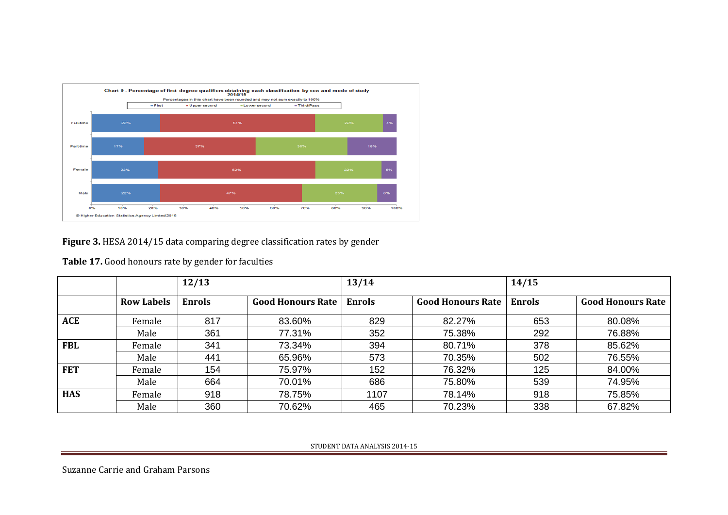

**Figure 3.** HESA 2014/15 data comparing degree classification rates by gender

|            |                   | 12/13  |                          | 13/14         |                          | 14/15         |                          |  |  |
|------------|-------------------|--------|--------------------------|---------------|--------------------------|---------------|--------------------------|--|--|
|            | <b>Row Labels</b> | Enrols | <b>Good Honours Rate</b> | <b>Enrols</b> | <b>Good Honours Rate</b> | <b>Enrols</b> | <b>Good Honours Rate</b> |  |  |
| ACE        | Female            | 817    | 83.60%                   | 829           | 82.27%                   | 653           | 80.08%                   |  |  |
|            | Male              | 361    | 77.31%                   | 352           | 75.38%                   | 292           | 76.88%                   |  |  |
| <b>FBL</b> | Female            | 341    | 73.34%                   | 394           | 80.71%                   | 378           | 85.62%                   |  |  |
|            | Male              | 441    | 65.96%                   | 573           | 70.35%                   | 502           | 76.55%                   |  |  |
| <b>FET</b> | Female            | 154    | 75.97%                   | 152           | 76.32%                   | 125           | 84.00%                   |  |  |
|            | Male              | 664    | 70.01%                   | 686           | 75.80%                   | 539           | 74.95%                   |  |  |
| <b>HAS</b> | Female            | 918    | 78.75%                   | 1107          | 78.14%                   | 918           | 75.85%                   |  |  |
|            | Male              | 360    | 70.62%                   | 465           | 70.23%                   | 338           | 67.82%                   |  |  |

**Table 17.** Good honours rate by gender for faculties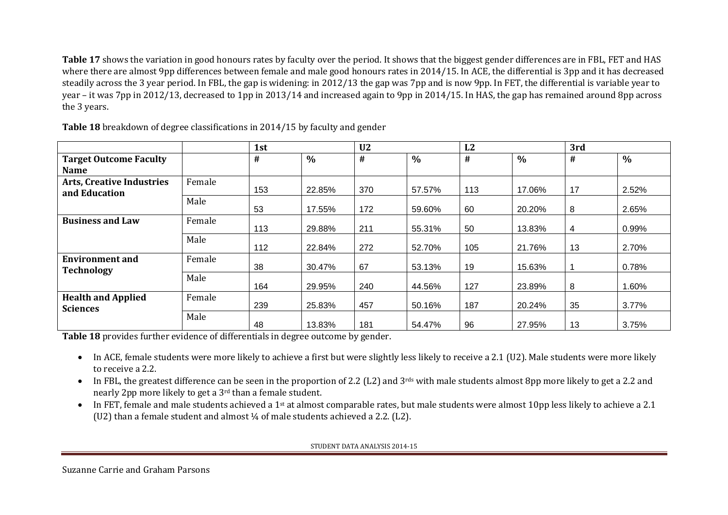**Table 17** shows the variation in good honours rates by faculty over the period. It shows that the biggest gender differences are in FBL, FET and HAS where there are almost 9pp differences between female and male good honours rates in 2014/15. In ACE, the differential is 3pp and it has decreased steadily across the 3 year period. In FBL, the gap is widening: in 2012/13 the gap was 7pp and is now 9pp. In FET, the differential is variable year to year – it was 7pp in 2012/13, decreased to 1pp in 2013/14 and increased again to 9pp in 2014/15. In HAS, the gap has remained around 8pp across the 3 years.

|                                              |        | 1st  |        | U <sub>2</sub> |        | L2  |               | 3rd            |               |
|----------------------------------------------|--------|------|--------|----------------|--------|-----|---------------|----------------|---------------|
| <b>Target Outcome Faculty</b>                |        | $\#$ | $\%$   | $\#$           | $\%$   | #   | $\frac{0}{0}$ | #              | $\frac{0}{0}$ |
| <b>Name</b>                                  |        |      |        |                |        |     |               |                |               |
| <b>Arts, Creative Industries</b>             | Female |      |        |                |        |     |               |                |               |
| and Education                                |        | 153  | 22.85% | 370            | 57.57% | 113 | 17.06%        | 17             | 2.52%         |
|                                              | Male   | 53   | 17.55% | 172            | 59.60% | 60  | 20.20%        | 8              | 2.65%         |
| <b>Business and Law</b>                      | Female | 113  | 29.88% | 211            | 55.31% | 50  | 13.83%        | $\overline{4}$ | 0.99%         |
|                                              | Male   | 112  | 22.84% | 272            | 52.70% | 105 | 21.76%        | 13             | 2.70%         |
| <b>Environment and</b><br><b>Technology</b>  | Female | 38   | 30.47% | 67             | 53.13% | 19  | 15.63%        |                | 0.78%         |
|                                              | Male   | 164  | 29.95% | 240            | 44.56% | 127 | 23.89%        | 8              | 1.60%         |
| <b>Health and Applied</b><br><b>Sciences</b> | Female | 239  | 25.83% | 457            | 50.16% | 187 | 20.24%        | 35             | 3.77%         |
|                                              | Male   | 48   | 13.83% | 181            | 54.47% | 96  | 27.95%        | 13             | 3.75%         |

**Table 18** breakdown of degree classifications in 2014/15 by faculty and gender

**Table 18** provides further evidence of differentials in degree outcome by gender.

- In ACE, female students were more likely to achieve a first but were slightly less likely to receive a 2.1 (U2). Male students were more likely to receive a 2.2.
- In FBL, the greatest difference can be seen in the proportion of 2.2 (L2) and 3<sup>rds</sup> with male students almost 8pp more likely to get a 2.2 and nearly 2pp more likely to get a 3rd than a female student.
- In FET, female and male students achieved a 1<sup>st</sup> at almost comparable rates, but male students were almost 10pp less likely to achieve a 2.1 (U2) than a female student and almost ¼ of male students achieved a 2.2. (L2).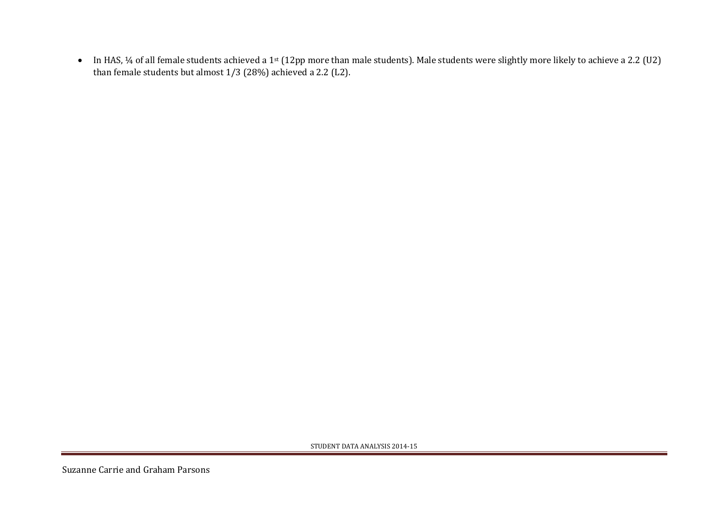• In HAS, ¼ of all female students achieved a 1<sup>st</sup> (12pp more than male students). Male students were slightly more likely to achieve a 2.2 (U2) than female students but almost 1/3 (28%) achieved a 2.2 (L2).